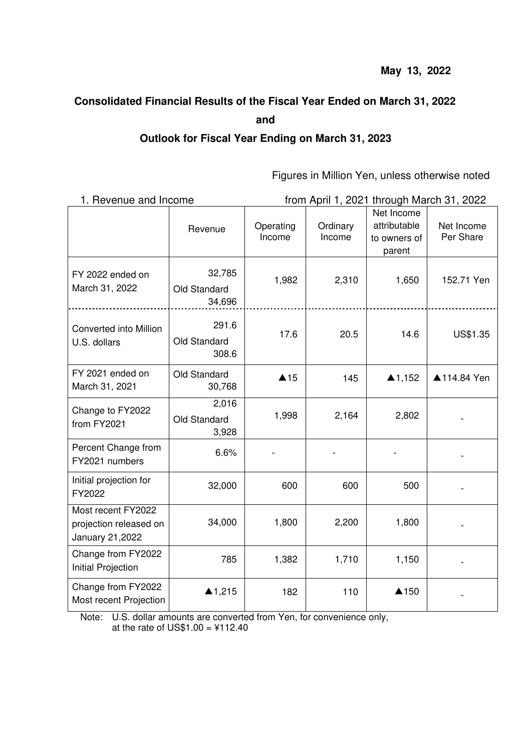# **Consolidated Financial Results of the Fiscal Year Ended on March 31, 2022 and Outlook for Fiscal Year Ending on March 31, 2023**

Figures in Million Yen, unless otherwise noted

| 1. Revenue and Income                                           |                                  | from April 1, 2021 through March 31, 2022 |                    |                                                      |                         |  |
|-----------------------------------------------------------------|----------------------------------|-------------------------------------------|--------------------|------------------------------------------------------|-------------------------|--|
|                                                                 | Revenue                          | Operating<br>Income                       | Ordinary<br>Income | Net Income<br>attributable<br>to owners of<br>parent | Net Income<br>Per Share |  |
| FY 2022 ended on<br>March 31, 2022                              | 32,785<br>Old Standard<br>34,696 | 1,982                                     | 2,310              | 1,650                                                | 152.71 Yen              |  |
| Converted into Million<br>U.S. dollars                          | 291.6<br>Old Standard<br>308.6   | 17.6                                      | 20.5               | 14.6                                                 | US\$1.35                |  |
| FY 2021 ended on<br>March 31, 2021                              | Old Standard<br>30,768           | $\triangle$ 15                            | 145                | $\triangle$ 1,152                                    | ▲114.84 Yen             |  |
| Change to FY2022<br>from FY2021                                 | 2,016<br>Old Standard<br>3,928   | 1,998                                     | 2,164              | 2,802                                                |                         |  |
| Percent Change from<br>FY2021 numbers                           | 6.6%                             |                                           |                    |                                                      |                         |  |
| Initial projection for<br>FY2022                                | 32,000                           | 600                                       | 600                | 500                                                  |                         |  |
| Most recent FY2022<br>projection released on<br>January 21,2022 | 34,000                           | 1,800                                     | 2,200              | 1,800                                                |                         |  |
| Change from FY2022<br>Initial Projection                        | 785                              | 1,382                                     | 1,710              | 1,150                                                |                         |  |
| Change from FY2022<br>Most recent Projection                    | ▲1,215                           | 182                                       | 110                | ▲150                                                 |                         |  |

Note: U.S. dollar amounts are converted from Yen, for convenience only, at the rate of US\$1.00 =  $¥112.40$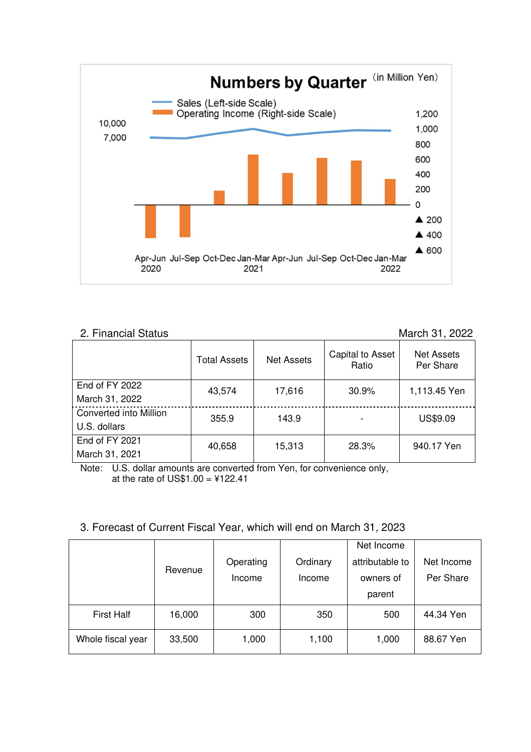

#### 2. Financial Status March 31, 2022 Total Assets | Net Assets | Capital to Asset Ratio Net Assets Per Share End of FY 2022 March 31, 2022 43,574 17,616 30.9% 1,113.45 Yen Converted into Million U.S. dollars 355.9 | 143.9 | - | US\$9.09 End of FY 2021 40,658 15,313 28.3% 940.17 Yen

Note: U.S. dollar amounts are converted from Yen, for convenience only, at the rate of  $US$1.00 = $122.41$ 

March 31, 2021

# 3. Forecast of Current Fiscal Year, which will end on March 31, 2023

|                   | Revenue |           |          | Net Income      |            |
|-------------------|---------|-----------|----------|-----------------|------------|
|                   |         | Operating | Ordinary | attributable to | Net Income |
|                   |         | Income    | Income   | owners of       | Per Share  |
|                   |         |           |          | parent          |            |
| <b>First Half</b> | 16,000  | 300       | 350      | 500             | 44.34 Yen  |
| Whole fiscal year | 33,500  | 1,000     | 1,100    | 1,000           | 88.67 Yen  |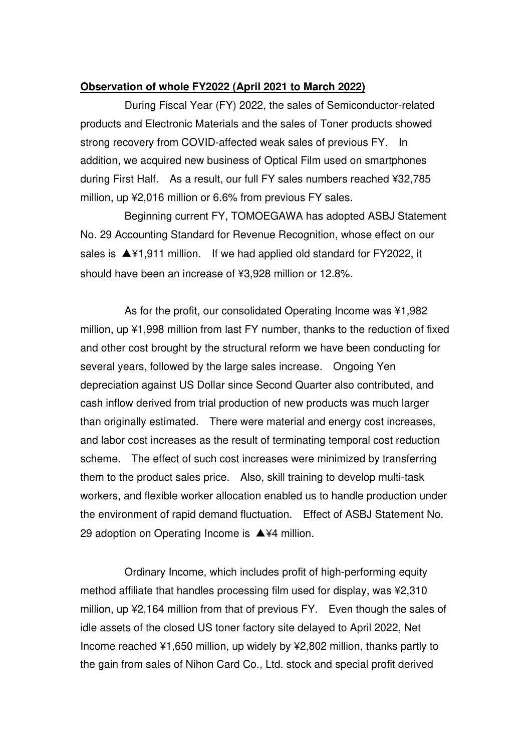## **Observation of whole FY2022 (April 2021 to March 2022)**

During Fiscal Year (FY) 2022, the sales of Semiconductor-related products and Electronic Materials and the sales of Toner products showed strong recovery from COVID-affected weak sales of previous FY. In addition, we acquired new business of Optical Film used on smartphones during First Half. As a result, our full FY sales numbers reached ¥32,785 million, up ¥2,016 million or 6.6% from previous FY sales.

Beginning current FY, TOMOEGAWA has adopted ASBJ Statement No. 29 Accounting Standard for Revenue Recognition, whose effect on our sales is ▲¥1,911 million. If we had applied old standard for FY2022, it should have been an increase of ¥3,928 million or 12.8%.

As for the profit, our consolidated Operating Income was ¥1,982 million, up ¥1,998 million from last FY number, thanks to the reduction of fixed and other cost brought by the structural reform we have been conducting for several years, followed by the large sales increase. Ongoing Yen depreciation against US Dollar since Second Quarter also contributed, and cash inflow derived from trial production of new products was much larger than originally estimated. There were material and energy cost increases, and labor cost increases as the result of terminating temporal cost reduction scheme. The effect of such cost increases were minimized by transferring them to the product sales price. Also, skill training to develop multi-task workers, and flexible worker allocation enabled us to handle production under the environment of rapid demand fluctuation. Effect of ASBJ Statement No. 29 adoption on Operating Income is ▲¥4 million.

Ordinary Income, which includes profit of high-performing equity method affiliate that handles processing film used for display, was ¥2,310 million, up ¥2,164 million from that of previous FY. Even though the sales of idle assets of the closed US toner factory site delayed to April 2022, Net Income reached ¥1,650 million, up widely by ¥2,802 million, thanks partly to the gain from sales of Nihon Card Co., Ltd. stock and special profit derived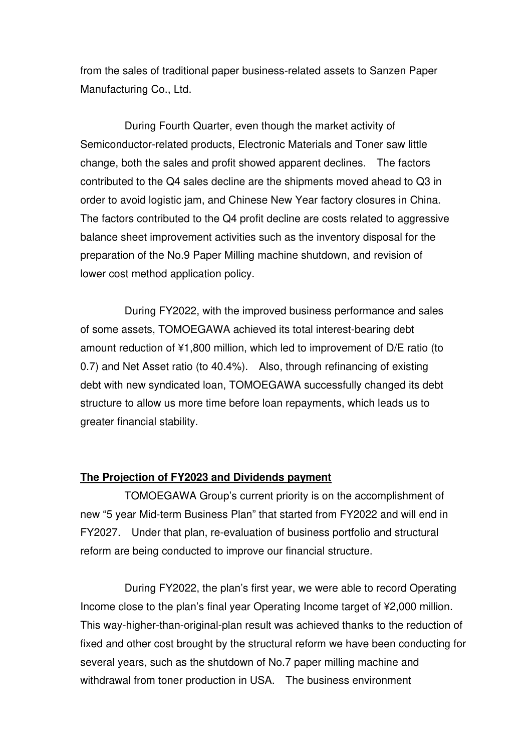from the sales of traditional paper business-related assets to Sanzen Paper Manufacturing Co., Ltd.

During Fourth Quarter, even though the market activity of Semiconductor-related products, Electronic Materials and Toner saw little change, both the sales and profit showed apparent declines. The factors contributed to the Q4 sales decline are the shipments moved ahead to Q3 in order to avoid logistic jam, and Chinese New Year factory closures in China. The factors contributed to the Q4 profit decline are costs related to aggressive balance sheet improvement activities such as the inventory disposal for the preparation of the No.9 Paper Milling machine shutdown, and revision of lower cost method application policy.

During FY2022, with the improved business performance and sales of some assets, TOMOEGAWA achieved its total interest-bearing debt amount reduction of ¥1,800 million, which led to improvement of D/E ratio (to 0.7) and Net Asset ratio (to 40.4%). Also, through refinancing of existing debt with new syndicated loan, TOMOEGAWA successfully changed its debt structure to allow us more time before loan repayments, which leads us to greater financial stability.

### **The Projection of FY2023 and Dividends payment**

TOMOEGAWA Group's current priority is on the accomplishment of new "5 year Mid-term Business Plan" that started from FY2022 and will end in FY2027. Under that plan, re-evaluation of business portfolio and structural reform are being conducted to improve our financial structure.

During FY2022, the plan's first year, we were able to record Operating Income close to the plan's final year Operating Income target of ¥2,000 million. This way-higher-than-original-plan result was achieved thanks to the reduction of fixed and other cost brought by the structural reform we have been conducting for several years, such as the shutdown of No.7 paper milling machine and withdrawal from toner production in USA. The business environment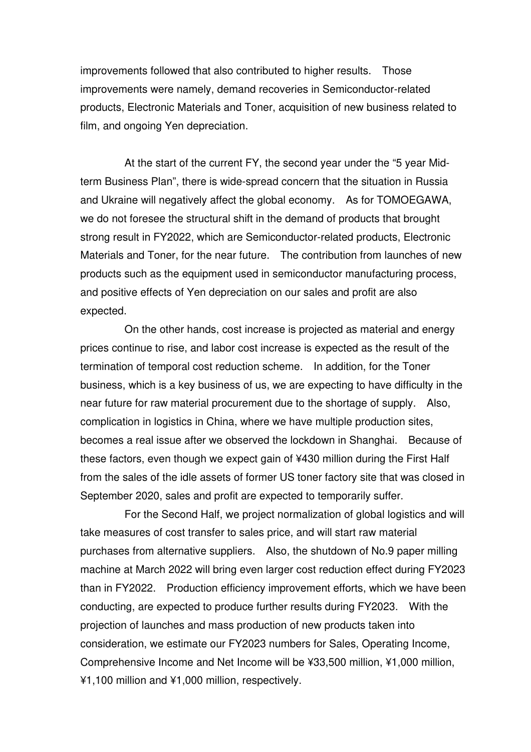improvements followed that also contributed to higher results. Those improvements were namely, demand recoveries in Semiconductor-related products, Electronic Materials and Toner, acquisition of new business related to film, and ongoing Yen depreciation.

At the start of the current FY, the second year under the "5 year Midterm Business Plan", there is wide-spread concern that the situation in Russia and Ukraine will negatively affect the global economy. As for TOMOEGAWA, we do not foresee the structural shift in the demand of products that brought strong result in FY2022, which are Semiconductor-related products, Electronic Materials and Toner, for the near future. The contribution from launches of new products such as the equipment used in semiconductor manufacturing process, and positive effects of Yen depreciation on our sales and profit are also expected.

On the other hands, cost increase is projected as material and energy prices continue to rise, and labor cost increase is expected as the result of the termination of temporal cost reduction scheme. In addition, for the Toner business, which is a key business of us, we are expecting to have difficulty in the near future for raw material procurement due to the shortage of supply. Also, complication in logistics in China, where we have multiple production sites, becomes a real issue after we observed the lockdown in Shanghai. Because of these factors, even though we expect gain of ¥430 million during the First Half from the sales of the idle assets of former US toner factory site that was closed in September 2020, sales and profit are expected to temporarily suffer.

For the Second Half, we project normalization of global logistics and will take measures of cost transfer to sales price, and will start raw material purchases from alternative suppliers. Also, the shutdown of No.9 paper milling machine at March 2022 will bring even larger cost reduction effect during FY2023 than in FY2022. Production efficiency improvement efforts, which we have been conducting, are expected to produce further results during FY2023. With the projection of launches and mass production of new products taken into consideration, we estimate our FY2023 numbers for Sales, Operating Income, Comprehensive Income and Net Income will be ¥33,500 million, ¥1,000 million, ¥1,100 million and ¥1,000 million, respectively.